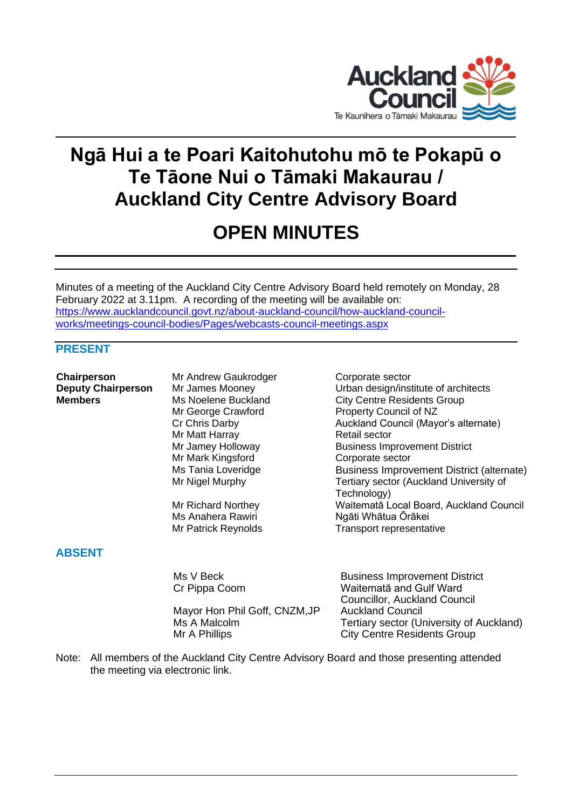

# **Ngā Hui a te Poari Kaitohutohu mō te Pokapū o Te Tāone Nui o Tāmaki Makaurau / Auckland City Centre Advisory Board**

## **OPEN MINUTES**

Minutes of a meeting of the Auckland City Centre Advisory Board held remotely on Monday, 28 February 2022 at 3.11pm. A recording of the meeting will be available on: [https://www.aucklandcouncil.govt.nz/about-auckland-council/how-auckland-council](https://www.aucklandcouncil.govt.nz/about-auckland-council/how-auckland-council-works/meetings-council-bodies/Pages/webcasts-council-meetings.aspx)[works/meetings-council-bodies/Pages/webcasts-council-meetings.aspx](https://www.aucklandcouncil.govt.nz/about-auckland-council/how-auckland-council-works/meetings-council-bodies/Pages/webcasts-council-meetings.aspx)

## **PRESENT**

**Chairperson** Mr Andrew Gaukrodger Corporate sector Mr Matt Harray Retail sector Mr Mark Kingsford<br>
Ms Tania Loveridge<br>
Ms Tania Loveridge<br>
Corporate Susiness Improv

## **ABSENT**

Mayor Hon Phil Goff, CNZM, JP Mr A Phillips **City Centre Residents Group** 

**Deputy Chairperson** Mr James Mooney **Notataka Chairpers** Urban design/institute of architects **Members** Ms Noelene Buckland City Centre Residents Group Mr George Crawford Property Council of NZ Cr Chris Darby Auckland Council (Mayor's alternate) Mr Jamey Holloway **Business Improvement District** Business Improvement District (alternate) Mr Nigel Murphy Tertiary sector (Auckland University of Technology) Mr Richard Northey Waitematā Local Board, Auckland Council Ms Anahera Rawiri Ngāti Whātua Ōrākei Mr Patrick Reynolds Transport representative

> Ms V Beck Business Improvement District Cr Pippa Coom Waitematā and Gulf Ward Councillor, Auckland Council Ms A Malcolm Tertiary sector (University of Auckland)

Note: All members of the Auckland City Centre Advisory Board and those presenting attended the meeting via electronic link.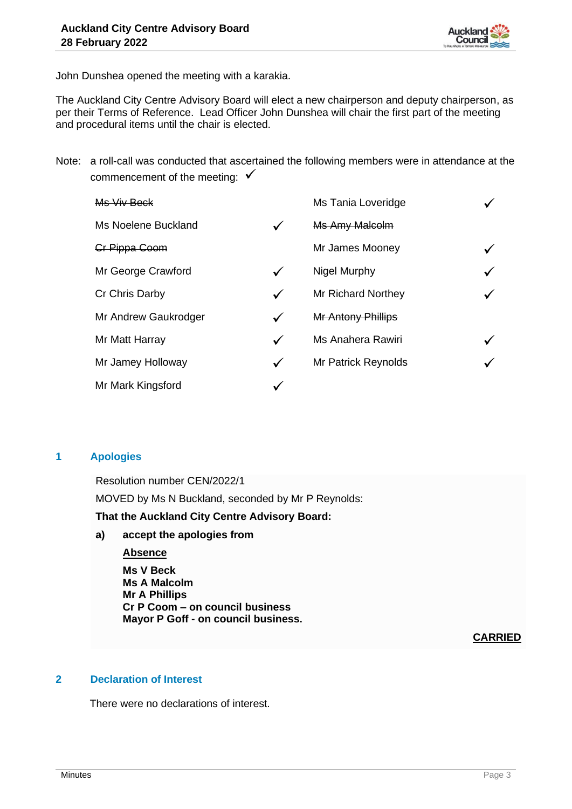

John Dunshea opened the meeting with a karakia.

The Auckland City Centre Advisory Board will elect a new chairperson and deputy chairperson, as per their Terms of Reference. Lead Officer John Dunshea will chair the first part of the meeting and procedural items until the chair is elected.

Note: a roll-call was conducted that ascertained the following members were in attendance at the commencement of the meeting:  $\checkmark$ 

| Ms Viv Beck          |   | Ms Tania Loveridge    |   |
|----------------------|---|-----------------------|---|
| Ms Noelene Buckland  | ✓ | <b>Ms Amy Malcolm</b> |   |
| Cr Pippa Coom        |   | Mr James Mooney       |   |
| Mr George Crawford   | ✓ | Nigel Murphy          | ✓ |
| Cr Chris Darby       | ✓ | Mr Richard Northey    |   |
| Mr Andrew Gaukrodger |   | Mr Antony Phillips    |   |
| Mr Matt Harray       | ✓ | Ms Anahera Rawiri     |   |
| Mr Jamey Holloway    | ✓ | Mr Patrick Reynolds   |   |
| Mr Mark Kingsford    |   |                       |   |

#### **1 Apologies**

Resolution number CEN/2022/1 MOVED by Ms N Buckland, seconded by Mr P Reynolds: **That the Auckland City Centre Advisory Board:**

#### **a) accept the apologies from**

## **Absence**

**Ms V Beck Ms A Malcolm Mr A Phillips Cr P Coom – on council business Mayor P Goff - on council business.**

## **CARRIED**

## **2 Declaration of Interest**

There were no declarations of interest.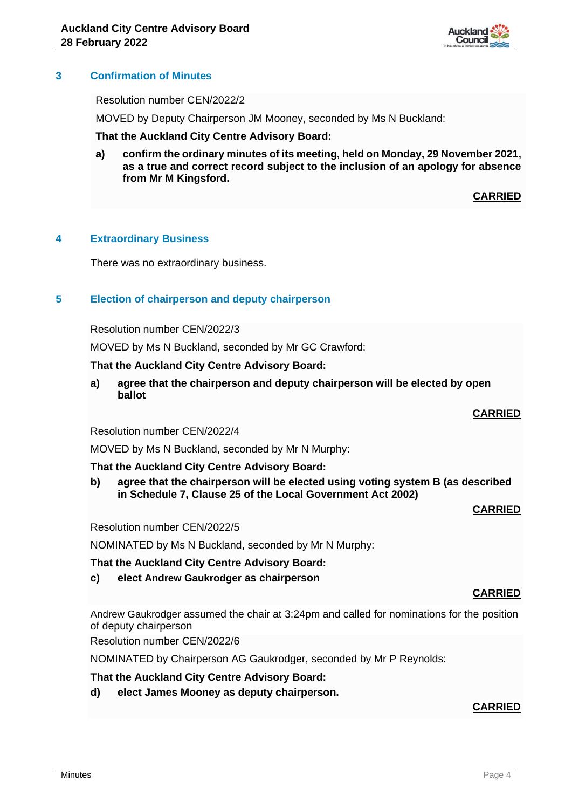

## **3 Confirmation of Minutes**

Resolution number CEN/2022/2

MOVED by Deputy Chairperson JM Mooney, seconded by Ms N Buckland:

**That the Auckland City Centre Advisory Board:**

**a) confirm the ordinary minutes of its meeting, held on Monday, 29 November 2021, as a true and correct record subject to the inclusion of an apology for absence from Mr M Kingsford.**

**CARRIED**

#### **4 Extraordinary Business**

There was no extraordinary business.

#### **5 Election of chairperson and deputy chairperson**

Resolution number CEN/2022/3

MOVED by Ms N Buckland, seconded by Mr GC Crawford:

#### **That the Auckland City Centre Advisory Board:**

**a) agree that the chairperson and deputy chairperson will be elected by open ballot**

#### **CARRIED**

Resolution number CEN/2022/4

MOVED by Ms N Buckland, seconded by Mr N Murphy:

#### **That the Auckland City Centre Advisory Board:**

**b) agree that the chairperson will be elected using voting system B (as described in Schedule 7, Clause 25 of the Local Government Act 2002)**

#### **CARRIED**

Resolution number CEN/2022/5

NOMINATED by Ms N Buckland, seconded by Mr N Murphy:

#### **That the Auckland City Centre Advisory Board:**

**c) elect Andrew Gaukrodger as chairperson**

## **CARRIED**

Andrew Gaukrodger assumed the chair at 3:24pm and called for nominations for the position of deputy chairperson

Resolution number CEN/2022/6

NOMINATED by Chairperson AG Gaukrodger, seconded by Mr P Reynolds:

#### **That the Auckland City Centre Advisory Board:**

**d) elect James Mooney as deputy chairperson.**

#### **CARRIED**